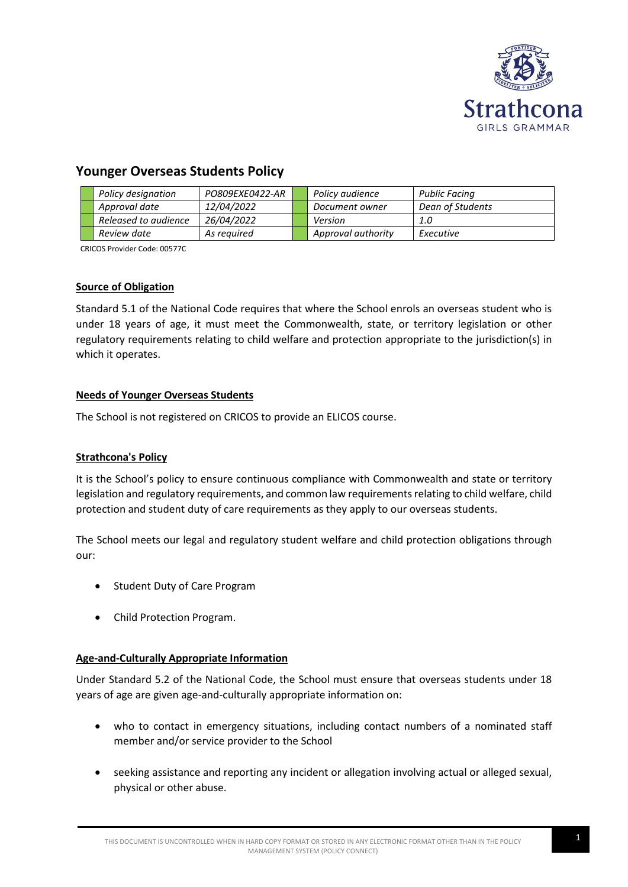

# **Younger Overseas Students Policy**

|  | Policy designation   | PO809EXE0422-AR | Policy audience    | Public Facing    |
|--|----------------------|-----------------|--------------------|------------------|
|  | Approval date        | 12/04/2022      | Document owner     | Dean of Students |
|  | Released to audience | 26/04/2022      | Version            | 1.0              |
|  | Review date          | As reauired     | Approval authority | Executive        |

CRICOS Provider Code: 00577C

## **Source of Obligation**

Standard 5.1 of the National Code requires that where the School enrols an overseas student who is under 18 years of age, it must meet the Commonwealth, state, or territory legislation or other regulatory requirements relating to child welfare and protection appropriate to the jurisdiction(s) in which it operates.

## **Needs of Younger Overseas Students**

The School is not registered on CRICOS to provide an ELICOS course.

# **Strathcona's Policy**

It is the School's policy to ensure continuous compliance with Commonwealth and state or territory legislation and regulatory requirements, and common law requirements relating to child welfare, child protection and student duty of care requirements as they apply to our overseas students.

The School meets our legal and regulatory student welfare and child protection obligations through our:

- Student Duty of Care Program
- Child Protection Program.

# **Age-and-Culturally Appropriate Information**

Under Standard 5.2 of the National Code, the School must ensure that overseas students under 18 years of age are given age-and-culturally appropriate information on:

- who to contact in emergency situations, including contact numbers of a nominated staff member and/or service provider to the School
- seeking assistance and reporting any incident or allegation involving actual or alleged sexual, physical or other abuse.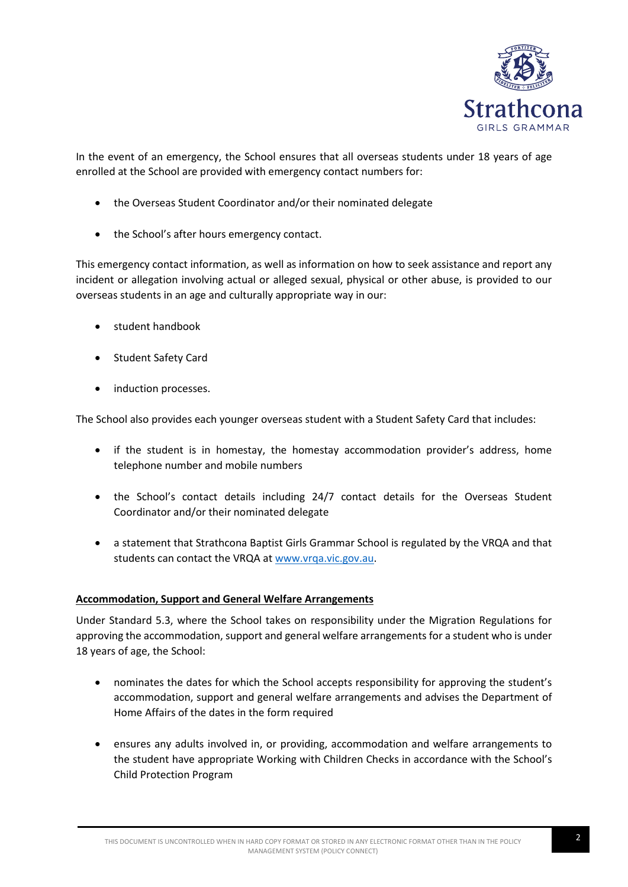

In the event of an emergency, the School ensures that all overseas students under 18 years of age enrolled at the School are provided with emergency contact numbers for:

- the Overseas Student Coordinator and/or their nominated delegate
- the School's after hours emergency contact.

This emergency contact information, as well as information on how to seek assistance and report any incident or allegation involving actual or alleged sexual, physical or other abuse, is provided to our overseas students in an age and culturally appropriate way in our:

- student handbook
- Student Safety Card
- induction processes.

The School also provides each younger overseas student with a Student Safety Card that includes:

- if the student is in homestay, the homestay accommodation provider's address, home telephone number and mobile numbers
- the School's contact details including 24/7 contact details for the Overseas Student Coordinator and/or their nominated delegate
- a statement that Strathcona Baptist Girls Grammar School is regulated by the VRQA and that students can contact the VRQA at [www.vrqa.vic.gov.au.](http://www.vrqa.vic.gov.au/)

# **Accommodation, Support and General Welfare Arrangements**

Under Standard 5.3, where the School takes on responsibility under the Migration Regulations for approving the accommodation, support and general welfare arrangements for a student who is under 18 years of age, the School:

- nominates the dates for which the School accepts responsibility for approving the student's accommodation, support and general welfare arrangements and advises the Department of Home Affairs of the dates in the form required
- ensures any adults involved in, or providing, accommodation and welfare arrangements to the student have appropriate Working with Children Checks in accordance with the School's Child Protection Program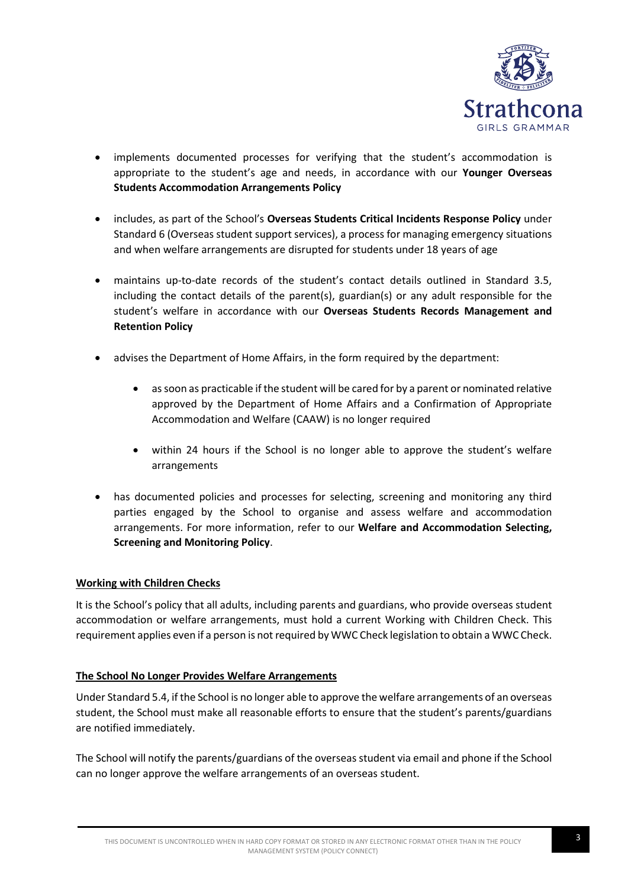

- implements documented processes for verifying that the student's accommodation is appropriate to the student's age and needs, in accordance with our **Younger Overseas Students Accommodation Arrangements Policy**
- includes, as part of the School's **Overseas Students Critical Incidents Response Policy** under Standard 6 (Overseas student support services), a process for managing emergency situations and when welfare arrangements are disrupted for students under 18 years of age
- maintains up-to-date records of the student's contact details outlined in Standard 3.5, including the contact details of the parent(s), guardian(s) or any adult responsible for the student's welfare in accordance with our **Overseas Students Records Management and Retention Policy**
- advises the Department of Home Affairs, in the form required by the department:
	- as soon as practicable if the student will be cared for by a parent or nominated relative approved by the Department of Home Affairs and a Confirmation of Appropriate Accommodation and Welfare (CAAW) is no longer required
	- within 24 hours if the School is no longer able to approve the student's welfare arrangements
- has documented policies and processes for selecting, screening and monitoring any third parties engaged by the School to organise and assess welfare and accommodation arrangements. For more information, refer to our **Welfare and Accommodation Selecting, Screening and Monitoring Policy**.

#### **Working with Children Checks**

It is the School's policy that all adults, including parents and guardians, who provide overseas student accommodation or welfare arrangements, must hold a current Working with Children Check. This requirement applies even if a person is not required by WWC Check legislation to obtain a WWC Check.

#### **The School No Longer Provides Welfare Arrangements**

Under Standard 5.4, if the School is no longer able to approve the welfare arrangements of an overseas student, the School must make all reasonable efforts to ensure that the student's parents/guardians are notified immediately.

The School will notify the parents/guardians of the overseas student via email and phone if the School can no longer approve the welfare arrangements of an overseas student.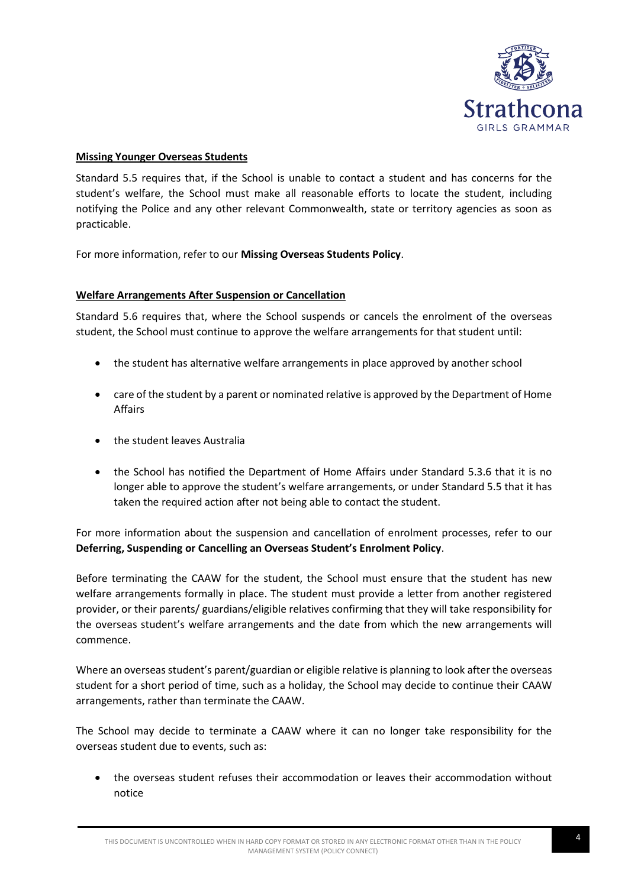

#### **Missing Younger Overseas Students**

Standard 5.5 requires that, if the School is unable to contact a student and has concerns for the student's welfare, the School must make all reasonable efforts to locate the student, including notifying the Police and any other relevant Commonwealth, state or territory agencies as soon as practicable.

For more information, refer to our **Missing Overseas Students Policy**.

## **Welfare Arrangements After Suspension or Cancellation**

Standard 5.6 requires that, where the School suspends or cancels the enrolment of the overseas student, the School must continue to approve the welfare arrangements for that student until:

- the student has alternative welfare arrangements in place approved by another school
- care of the student by a parent or nominated relative is approved by the Department of Home Affairs
- the student leaves Australia
- the School has notified the Department of Home Affairs under Standard 5.3.6 that it is no longer able to approve the student's welfare arrangements, or under Standard 5.5 that it has taken the required action after not being able to contact the student.

For more information about the suspension and cancellation of enrolment processes, refer to our **Deferring, Suspending or Cancelling an Overseas Student's Enrolment Policy**.

Before terminating the CAAW for the student, the School must ensure that the student has new welfare arrangements formally in place. The student must provide a letter from another registered provider, or their parents/ guardians/eligible relatives confirming that they will take responsibility for the overseas student's welfare arrangements and the date from which the new arrangements will commence.

Where an overseas student's parent/guardian or eligible relative is planning to look after the overseas student for a short period of time, such as a holiday, the School may decide to continue their CAAW arrangements, rather than terminate the CAAW.

The School may decide to terminate a CAAW where it can no longer take responsibility for the overseas student due to events, such as:

• the overseas student refuses their accommodation or leaves their accommodation without notice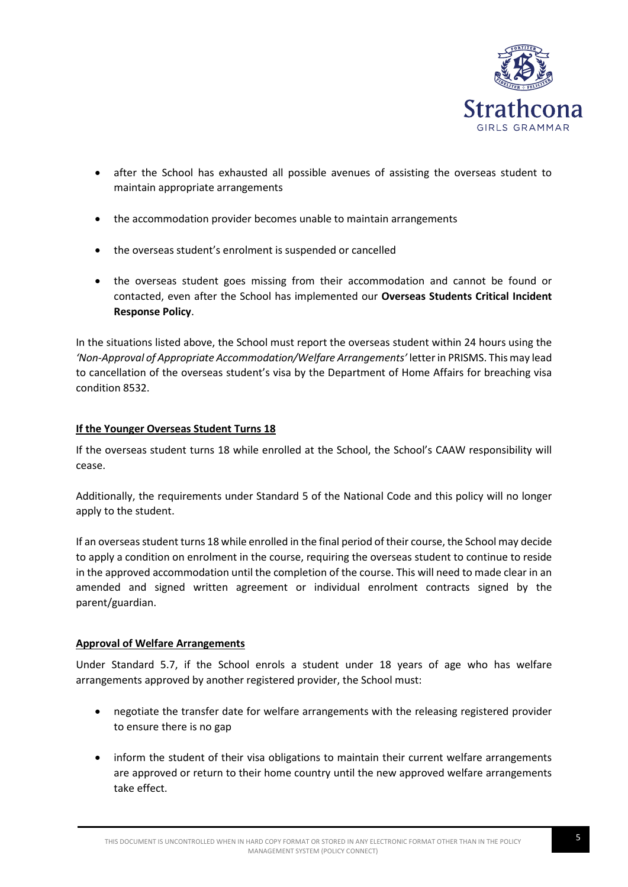

- after the School has exhausted all possible avenues of assisting the overseas student to maintain appropriate arrangements
- the accommodation provider becomes unable to maintain arrangements
- the overseas student's enrolment is suspended or cancelled
- the overseas student goes missing from their accommodation and cannot be found or contacted, even after the School has implemented our **Overseas Students Critical Incident Response Policy**.

In the situations listed above, the School must report the overseas student within 24 hours using the *'Non-Approval of Appropriate Accommodation/Welfare Arrangements'* letter in PRISMS. This may lead to cancellation of the overseas student's visa by the Department of Home Affairs for breaching visa condition 8532.

# **If the Younger Overseas Student Turns 18**

If the overseas student turns 18 while enrolled at the School, the School's CAAW responsibility will cease.

Additionally, the requirements under Standard 5 of the National Code and this policy will no longer apply to the student.

If an overseas student turns 18 while enrolled in the final period of their course, the School may decide to apply a condition on enrolment in the course, requiring the overseas student to continue to reside in the approved accommodation until the completion of the course. This will need to made clear in an amended and signed written agreement or individual enrolment contracts signed by the parent/guardian.

#### **Approval of Welfare Arrangements**

Under Standard 5.7, if the School enrols a student under 18 years of age who has welfare arrangements approved by another registered provider, the School must:

- negotiate the transfer date for welfare arrangements with the releasing registered provider to ensure there is no gap
- inform the student of their visa obligations to maintain their current welfare arrangements are approved or return to their home country until the new approved welfare arrangements take effect.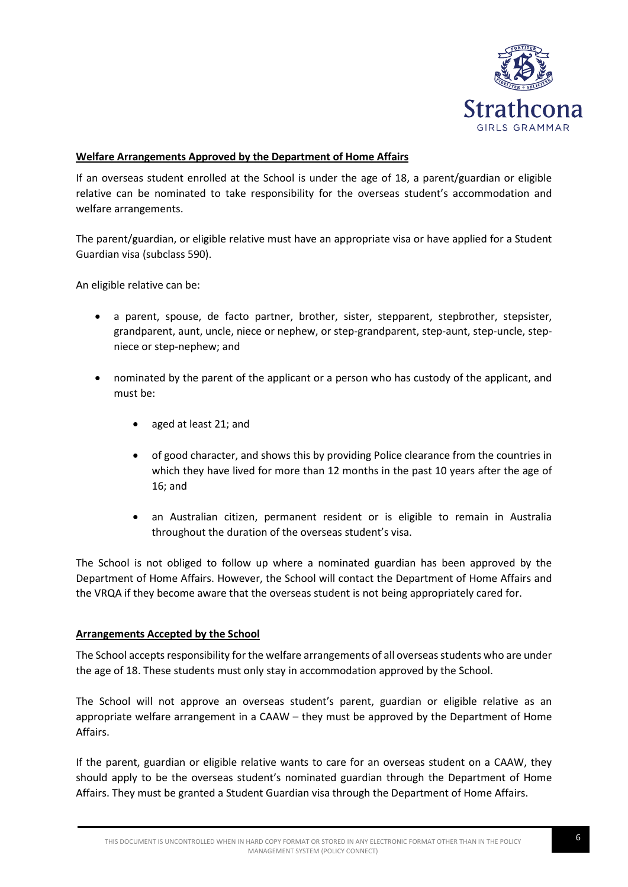

## **Welfare Arrangements Approved by the Department of Home Affairs**

If an overseas student enrolled at the School is under the age of 18, a parent/guardian or eligible relative can be nominated to take responsibility for the overseas student's accommodation and welfare arrangements.

The parent/guardian, or eligible relative must have an appropriate visa or have applied for a Student Guardian visa (subclass 590).

An eligible relative can be:

- a parent, spouse, de facto partner, brother, sister, stepparent, stepbrother, stepsister, grandparent, aunt, uncle, niece or nephew, or step-grandparent, step-aunt, step-uncle, stepniece or step-nephew; and
- nominated by the parent of the applicant or a person who has custody of the applicant, and must be:
	- aged at least 21; and
	- of good character, and shows this by providing Police clearance from the countries in which they have lived for more than 12 months in the past 10 years after the age of 16; and
	- an Australian citizen, permanent resident or is eligible to remain in Australia throughout the duration of the overseas student's visa.

The School is not obliged to follow up where a nominated guardian has been approved by the Department of Home Affairs. However, the School will contact the Department of Home Affairs and the VRQA if they become aware that the overseas student is not being appropriately cared for.

#### **Arrangements Accepted by the School**

The School accepts responsibility for the welfare arrangements of all overseas students who are under the age of 18. These students must only stay in accommodation approved by the School.

The School will not approve an overseas student's parent, guardian or eligible relative as an appropriate welfare arrangement in a CAAW – they must be approved by the Department of Home Affairs.

If the parent, guardian or eligible relative wants to care for an overseas student on a CAAW, they should apply to be the overseas student's nominated guardian through the Department of Home Affairs. They must be granted a Student Guardian visa through the Department of Home Affairs.